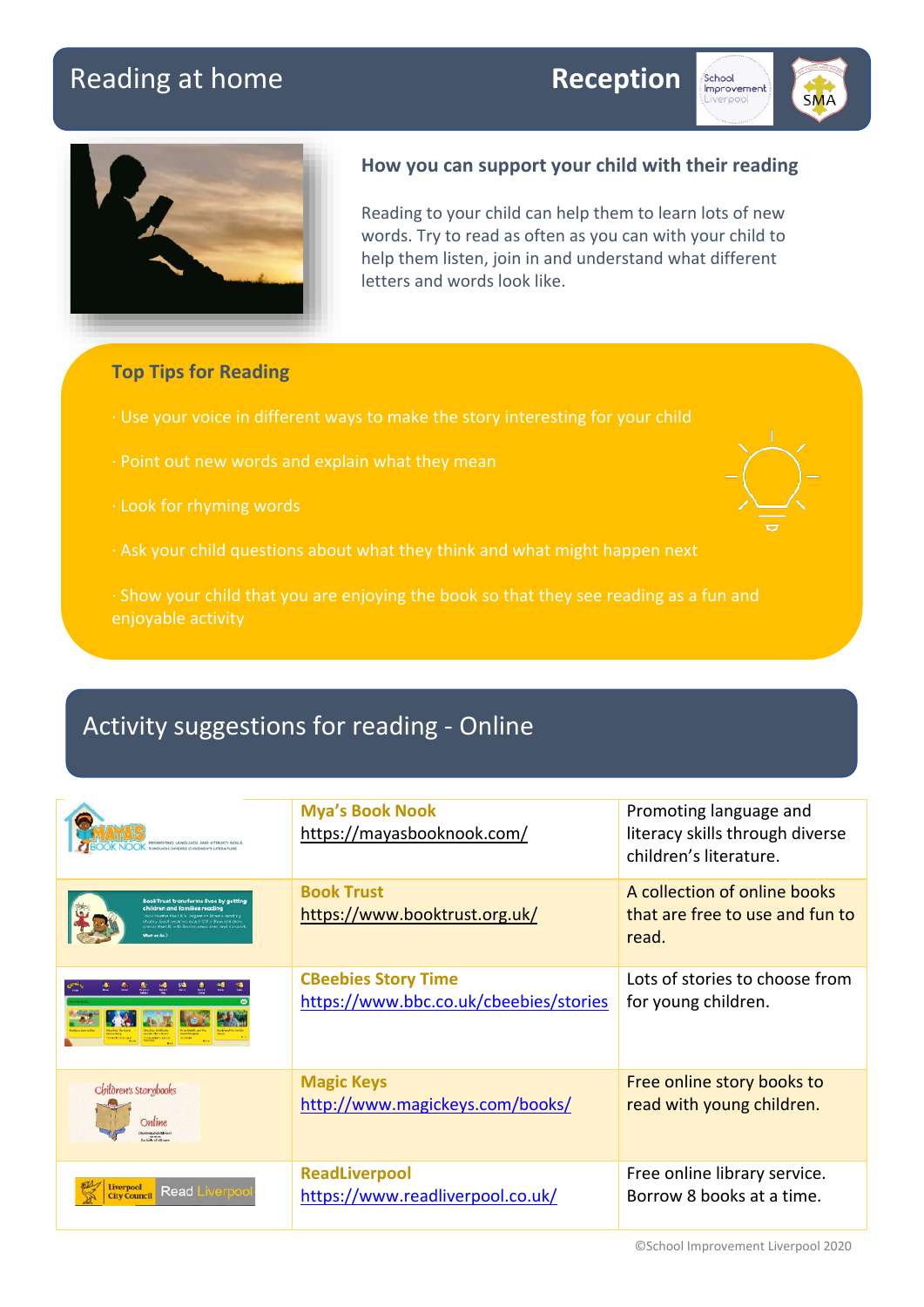# Reading at home **Reception**







### **How you can support your child with their reading**

Reading to your child can help them to learn lots of new words. Try to read as often as you can with your child to help them listen, join in and understand what different letters and words look like.

## **Top Tips for Reading**

- · Use your voice in different ways to make the story interesting for your child
- · Point out new words and explain what they mean
- 
- · Ask your child questions about what they think and what might happen next
- · Show your child that you are enjoying the book so that they see reading as a fun and enjoyable activity

# Activity suggestions for reading - Online

| PROMOTING LANGUAGE AND UTERACY SKILLS<br>OK THROUGH DIVERSE CHILDREN'S LITERATURE                                                | <b>Mya's Book Nook</b><br>https://mayasbooknook.com/                 | Promoting language and<br>literacy skills through diverse<br>children's literature. |
|----------------------------------------------------------------------------------------------------------------------------------|----------------------------------------------------------------------|-------------------------------------------------------------------------------------|
| <b>BookTrust transforms lives by getting</b><br>children and families reading<br>sharing barch was we want? SS in I ken children | <b>Book Trust</b><br>https://www.booktrust.org.uk/                   | A collection of online books<br>that are free to use and fun to<br>read.            |
|                                                                                                                                  | <b>CBeebies Story Time</b><br>https://www.bbc.co.uk/cbeebies/stories | Lots of stories to choose from<br>for young children.                               |
| Children's Storybooks<br>Online<br>kistroted dilldren's<br>for hide of all and                                                   | <b>Magic Keys</b><br>http://www.magickeys.com/books/                 | Free online story books to<br>read with young children.                             |
| verpool<br><b>Read</b><br><b>City Council</b>                                                                                    | <b>ReadLiverpool</b><br>https://www.readliverpool.co.uk/             | Free online library service.<br>Borrow 8 books at a time.                           |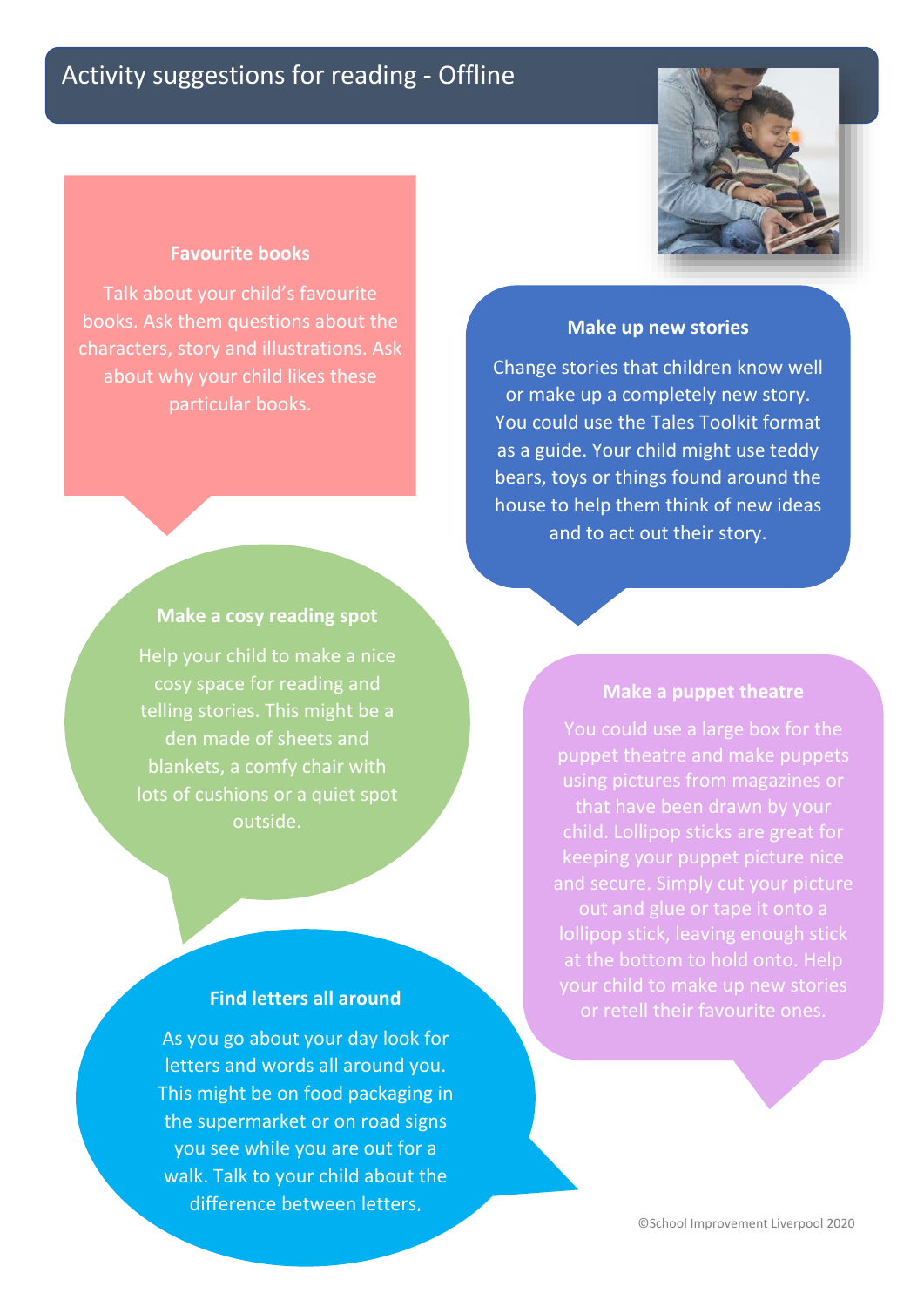

#### **Favourite books**

Talk about your child's favourite books. Ask them questions about the characters, story and illustrations. Ask about why your child likes these particular books.

# **Make up new stories** Change stories that children know well

or make up a completely new story. You could use the Tales Toolkit format as a guide. Your child might use teddy bears, toys or things found around the house to help them think of new ideas and to act out their story.

#### **Make a cosy reading spot**

Help your child to make a nice cosy space for reading and telling stories. This might be a den made of sheets and blankets, a comfy chair with lots of cushions or a quiet spot outside.

#### **Find letters all around**

As you go about your day look for letters and words all around you. This might be on food packaging in the supermarket or on road signs you see while you are out for a walk. Talk to your child about the difference between letters,

#### **Make a puppet theatre**

You could use a large box for the puppet theatre and make puppets using pictures from magazines or child. Lollipop sticks are great for keeping your puppet picture nice and secure. Simply cut your picture out and glue or tape it onto a lollipop stick, leaving enough stick at the bottom to hold onto. Help or retell their favourite ones.

©School Improvement Liverpool 2020